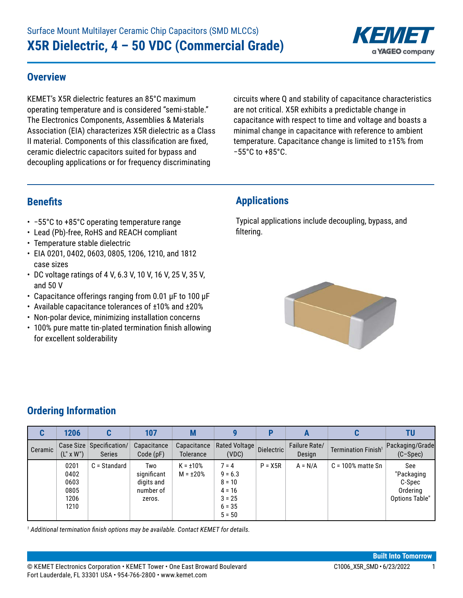

#### **Overview**

KEMET's X5R dielectric features an 85°C maximum operating temperature and is considered "semi-stable." The Electronics Components, Assemblies & Materials Association (EIA) characterizes X5R dielectric as a Class II material. Components of this classification are fixed, ceramic dielectric capacitors suited for bypass and decoupling applications or for frequency discriminating

circuits where Q and stability of capacitance characteristics are not critical. X5R exhibits a predictable change in capacitance with respect to time and voltage and boasts a minimal change in capacitance with reference to ambient temperature. Capacitance change is limited to ±15% from −55°C to +85°C.

### **Benefits**

- • −55°C to +85°C operating temperature range
- Lead (Pb)-free, RoHS and REACH compliant
- Temperature stable dielectric
- EIA 0201, 0402, 0603, 0805, 1206, 1210, and 1812 case sizes
- DC voltage ratings of 4 V, 6.3 V, 10 V, 16 V, 25 V, 35 V, and 50 V
- • Capacitance offerings ranging from 0.01 μF to 100 μF
- Available capacitance tolerances of ±10% and ±20%
- Non-polar device, minimizing installation concerns
- 100% pure matte tin-plated termination finish allowing for excellent solderability

### **Applications**

Typical applications include decoupling, bypass, and filtering.



#### **Ordering Information**

| C       | 1206                                         |                                           | 107                                                     | M                                |                                                                                  | D          |                         | C                               | TU                                                        |
|---------|----------------------------------------------|-------------------------------------------|---------------------------------------------------------|----------------------------------|----------------------------------------------------------------------------------|------------|-------------------------|---------------------------------|-----------------------------------------------------------|
| Ceramic | $(L'' \times W'')$                           | Case Size Specification/<br><b>Series</b> | Capacitance<br>Code(pF)                                 | Capacitance<br><b>Tolerance</b>  | Rated Voltage<br>(VDC)                                                           | Dielectric | Failure Rate/<br>Design | Termination Finish <sup>1</sup> | Packaging/Grade<br>$(C-Spec)$                             |
|         | 0201<br>0402<br>0603<br>0805<br>1206<br>1210 | C = Standard                              | Two<br>significant<br>digits and<br>number of<br>zeros. | $K = \pm 10\%$<br>$M = \pm 20\%$ | $7 = 4$<br>$9 = 6.3$<br>$8 = 10$<br>$4 = 16$<br>$3 = 25$<br>$6 = 35$<br>$5 = 50$ | $P = X5R$  | $A = N/A$               | $C = 100\%$ matte Sn            | See<br>"Packaging<br>C-Spec<br>Ordering<br>Options Table" |

*1 Additional termination finish options may be available. Contact KEMET for details.*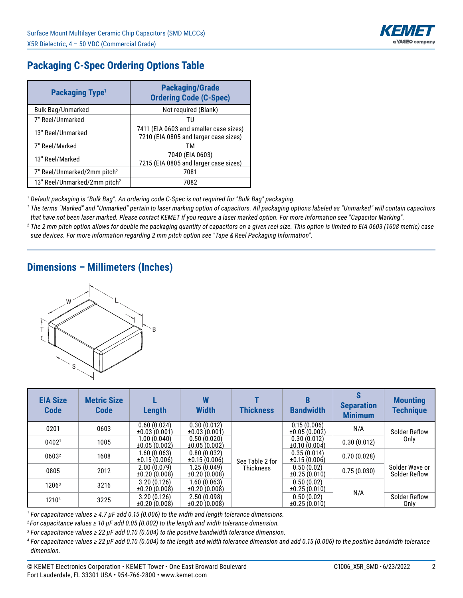

## **Packaging C-Spec Ordering Options Table**

| Packaging Type <sup>1</sup>              | <b>Packaging/Grade</b><br><b>Ordering Code (C-Spec)</b>                         |
|------------------------------------------|---------------------------------------------------------------------------------|
| <b>Bulk Bag/Unmarked</b>                 | Not required (Blank)                                                            |
| 7" Reel/Unmarked                         | τu                                                                              |
| 13" Reel/Unmarked                        | 7411 (EIA 0603 and smaller case sizes)<br>7210 (EIA 0805 and larger case sizes) |
| 7" Reel/Marked                           | ТM                                                                              |
| 13" Reel/Marked                          | 7040 (EIA 0603)<br>7215 (EIA 0805 and larger case sizes)                        |
| 7" Reel/Unmarked/2mm pitch <sup>2</sup>  | 7081                                                                            |
| 13" Reel/Unmarked/2mm pitch <sup>2</sup> | 7082                                                                            |

*1 Default packaging is "Bulk Bag". An ordering code C-Spec is not required for "Bulk Bag" packaging.*

*1 The terms "Marked" and "Unmarked" pertain to laser marking option of capacitors. All packaging options labeled as "Unmarked" will contain capacitors that have not been laser marked. Please contact KEMET if you require a laser marked option. For more information see "Capacitor Marking".*

*2 The 2 mm pitch option allows for double the packaging quantity of capacitors on a given reel size. This option is limited to EIA 0603 (1608 metric) case size devices. For more information regarding 2 mm pitch option see "Tape & Reel Packaging Information".*

### **Dimensions – Millimeters (Inches)**



| <b>EIA Size</b><br><b>Code</b> | <b>Metric Size</b><br><b>Code</b> | Length                           | W<br><b>Width</b>           | <b>Thickness</b> | B<br><b>Bandwidth</b>           | <b>Separation</b><br><b>Minimum</b> | <b>Mounting</b><br><b>Technique</b> |
|--------------------------------|-----------------------------------|----------------------------------|-----------------------------|------------------|---------------------------------|-------------------------------------|-------------------------------------|
| 0201                           | 0603                              | 0.60(0.024)<br>±0.03(0.001)      | 0.30(0.012)<br>±0.03(0.001) |                  | 0.15(0.006)<br>±0.05(0.002)     | N/A                                 | Solder Reflow                       |
| 04021                          | 1005                              | 1.00 (0.040)<br>±0.05(0.002)     | 0.50(0.020)<br>±0.05(0.002) |                  | 0.30(0.012)<br>±0.10(0.004)     | 0.30(0.012)                         | Only                                |
| 06032                          | 1608                              | 1.60(0.063)<br>±0.15(0.006)      | 0.80(0.032)<br>±0.15(0.006) | See Table 2 for  | 0.35(0.014)<br>±0.15(0.006)     | 0.70(0.028)                         |                                     |
| 0805                           | 2012                              | 2.00(0.079)<br>±0.20(0.008)      | 1.25(0.049)<br>±0.20(0.008) | <b>Thickness</b> | 0.50(0.02)<br>±0.25(0.010)      | 0.75(0.030)                         | Solder Wave or<br>Solder Reflow     |
| 1206 <sup>3</sup>              | 3216                              | 3.20(0.126)<br>$\pm 0.20(0.008)$ | 1.60(0.063)<br>±0.20(0.008) |                  | 0.50(0.02)<br>$\pm 0.25(0.010)$ |                                     |                                     |
| 12104                          | 3225                              | 3.20(0.126)<br>±0.20(0.008)      | 2.50(0.098)<br>±0.20(0.008) |                  | 0.50(0.02)<br>$\pm 0.25(0.010)$ | N/A                                 | <b>Solder Reflow</b><br>Only        |

*1 For capacitance values ≥ 4.7 µF add 0.15 (0.006) to the width and length tolerance dimensions.*

*<sup>2</sup>For capacitance values ≥ 10 µF add 0.05 (0.002) to the length and width tolerance dimension.*

*3 For capacitance values ≥ 22 µF add 0.10 (0.004) to the positive bandwidth tolerance dimension.*

*4 For capacitance values ≥ 22 µF add 0.10 (0.004) to the length and width tolerance dimension and add 0.15 (0.006) to the positive bandwidth tolerance dimension.*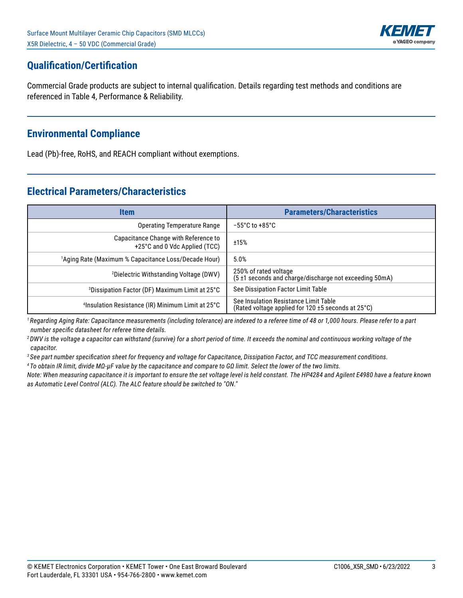

## **Qualification/Certification**

Commercial Grade products are subject to internal qualification. Details regarding test methods and conditions are referenced in Table 4, Performance & Reliability.

#### **Environmental Compliance**

Lead (Pb)-free, RoHS, and REACH compliant without exemptions.

#### **Electrical Parameters/Characteristics**

| <b>Item</b>                                                           | <b>Parameters/Characteristics</b>                                                           |
|-----------------------------------------------------------------------|---------------------------------------------------------------------------------------------|
| Operating Temperature Range                                           | $-55^{\circ}$ C to +85 $^{\circ}$ C                                                         |
| Capacitance Change with Reference to<br>+25°C and 0 Vdc Applied (TCC) | ±15%                                                                                        |
| <sup>1</sup> Aging Rate (Maximum % Capacitance Loss/Decade Hour)      | 5.0%                                                                                        |
| <sup>2</sup> Dielectric Withstanding Voltage (DWV)                    | 250% of rated voltage<br>(5 ±1 seconds and charge/discharge not exceeding 50mA)             |
| <sup>3</sup> Dissipation Factor (DF) Maximum Limit at 25°C            | See Dissipation Factor Limit Table                                                          |
| <sup>4</sup> Insulation Resistance (IR) Minimum Limit at 25°C         | See Insulation Resistance Limit Table<br>(Rated voltage applied for 120 ±5 seconds at 25°C) |

*<sup>1</sup>Regarding Aging Rate: Capacitance measurements (including tolerance) are indexed to a referee time of 48 or 1,000 hours. Please refer to a part number specific datasheet for referee time details.* 

*<sup>2</sup>DWV is the voltage a capacitor can withstand (survive) for a short period of time. It exceeds the nominal and continuous working voltage of the capacitor.*

*3 See part number specification sheet for frequency and voltage for Capacitance, Dissipation Factor, and TCC measurement conditions.*

*4 To obtain IR limit, divide MΩ-µF value by the capacitance and compare to GΩ limit. Select the lower of the two limits.*

*Note: When measuring capacitance it is important to ensure the set voltage level is held constant. The HP4284 and Agilent E4980 have a feature known as Automatic Level Control (ALC). The ALC feature should be switched to "ON."*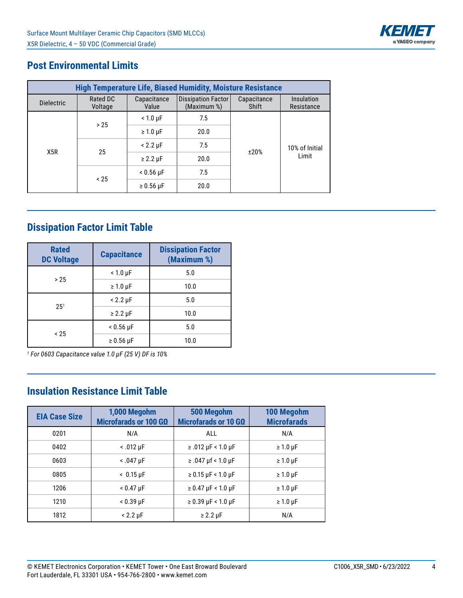

## **Post Environmental Limits**

| <b>High Temperature Life, Biased Humidity, Moisture Resistance</b> |                     |                              |                                          |                      |                          |  |  |  |  |  |  |
|--------------------------------------------------------------------|---------------------|------------------------------|------------------------------------------|----------------------|--------------------------|--|--|--|--|--|--|
| <b>Dielectric</b>                                                  | Rated DC<br>Voltage | Capacitance<br>Value         | <b>Dissipation Factor</b><br>(Maximum %) | Capacitance<br>Shift | Insulation<br>Resistance |  |  |  |  |  |  |
|                                                                    | > 25                | $< 1.0 \mu F$                | 7.5                                      |                      |                          |  |  |  |  |  |  |
|                                                                    |                     | $\geq 1.0 \,\mu F$           | 20.0                                     |                      |                          |  |  |  |  |  |  |
| X <sub>5R</sub>                                                    | 25                  | $< 2.2 \mu F$                | 7.5                                      |                      | 10% of Initial           |  |  |  |  |  |  |
|                                                                    |                     | $\geq$ 2.2 µF                | 20.0                                     | ±20%                 | Limit                    |  |  |  |  |  |  |
|                                                                    |                     | $< 0.56 \text{ }\mu\text{F}$ |                                          |                      |                          |  |  |  |  |  |  |
|                                                                    | $~<$ 25             | $\geq 0.56$ µF               | 20.0                                     |                      |                          |  |  |  |  |  |  |

# **Dissipation Factor Limit Table**

| <b>Rated</b><br><b>DC Voltage</b> | <b>Capacitance</b> | <b>Dissipation Factor</b><br>(Maximum %) |  |  |  |
|-----------------------------------|--------------------|------------------------------------------|--|--|--|
| > 25                              | $< 1.0 \mu F$      | 5.0                                      |  |  |  |
|                                   | $\geq 1.0 \,\mu F$ | 10.0                                     |  |  |  |
| $25^{1}$                          | $< 2.2 \mu F$      | 5.0                                      |  |  |  |
|                                   | $\geq$ 2.2 µF      | 10.0                                     |  |  |  |
| < 25                              | $< 0.56 \mu F$     | 5.0                                      |  |  |  |
|                                   | $\geq 0.56$ µF     | 10.0                                     |  |  |  |

*1 For 0603 Capacitance value 1.0 µF (25 V) DF is 10%*

## **Insulation Resistance Limit Table**

| <b>EIA Case Size</b> | 1,000 Megohm<br>Microfarads or 100 GΩ | 500 Megohm<br>Microfarads or 10 GΩ | 100 Megohm<br><b>Microfarads</b> |
|----------------------|---------------------------------------|------------------------------------|----------------------------------|
| 0201                 | N/A                                   | ALL                                | N/A                              |
| 0402                 | $< .012 \mu F$                        | $≥ .012$ µF < 1.0 µF               | $\geq 1.0 \,\mu F$               |
| 0603                 | $< .047$ µF                           | $≥ .047 \mu f < 1.0 \mu F$         | $\geq 1.0 \,\mu F$               |
| 0805                 | $< 0.15 \text{ }\mu\text{F}$          | $\geq 0.15$ µF < 1.0 µF            | $\geq 1.0 \,\mu F$               |
| 1206                 | $< 0.47 \mu F$                        | $\geq 0.47 \mu F < 1.0 \mu F$      | $\geq 1.0 \,\mu F$               |
| 1210                 | $< 0.39$ µF                           | $\geq$ 0.39 µF < 1.0 µF            | $\geq 1.0 \,\mu F$               |
| 1812                 | $< 2.2 \mu F$                         | $\geq$ 2.2 µF                      | N/A                              |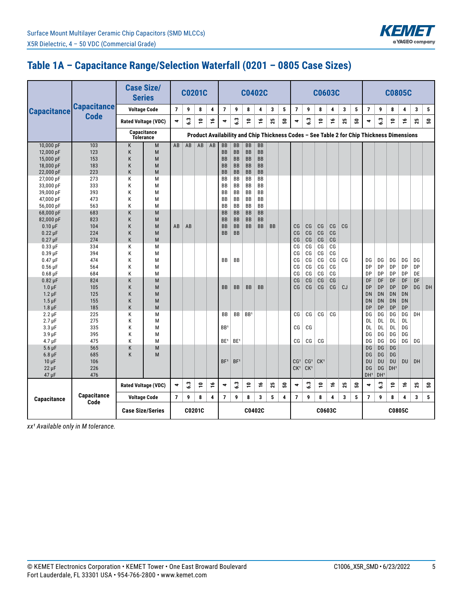

## **Table 1A – Capacitance Range/Selection Waterfall (0201 – 0805 Case Sizes)**

|                           |                    |                            | <b>Case Size/</b><br><b>Series</b> |                          | <b>C0201C</b> |                |    |                 |                 | <b>C0402C</b>   |           |           |   |                 |                 |                 | <b>C0603C</b>  |    |   |                                                                                           |                 | <b>C0805C</b>   |           |    |    |
|---------------------------|--------------------|----------------------------|------------------------------------|--------------------------|---------------|----------------|----|-----------------|-----------------|-----------------|-----------|-----------|---|-----------------|-----------------|-----------------|----------------|----|---|-------------------------------------------------------------------------------------------|-----------------|-----------------|-----------|----|----|
| <b>Capacitance</b>        | <b>Capacitance</b> |                            | <b>Voltage Code</b>                | $\overline{\phantom{a}}$ | 9             | 8              | 4  | $\overline{7}$  | 9               | 8               | 4         | 3         | 5 | 7               | 9               | 8               | 4              | 3  | 5 | $\overline{7}$                                                                            | 9               | 8               | 4         | 3  | 5  |
|                           | <b>Code</b>        |                            | <b>Rated Voltage (VDC)</b>         | 4                        | 6.3           | پّ             | ٩  | 4               | 3               | <u>۽</u>        | ۽         | ង         | ន | $\ddot{ }$      | 6.3             | <u>۽</u>        | ٩              | 25 | ន | 4                                                                                         | ္မ              | پّ              | ٩         | 25 | ន  |
|                           |                    |                            | Capacitance                        |                          |               |                |    |                 |                 |                 |           |           |   |                 |                 |                 |                |    |   |                                                                                           |                 |                 |           |    |    |
|                           |                    |                            | <b>Tolerance</b>                   |                          |               |                |    |                 |                 |                 |           |           |   |                 |                 |                 |                |    |   | Product Availability and Chip Thickness Codes - See Table 2 for Chip Thickness Dimensions |                 |                 |           |    |    |
| 10,000 pF                 | 103                | K                          | M                                  | AB                       | AB            | AB             | AB | <b>BB</b>       | <b>BB</b>       | <b>BB</b>       | <b>BB</b> |           |   |                 |                 |                 |                |    |   |                                                                                           |                 |                 |           |    |    |
| 12,000 pF                 | 123                | K                          | M                                  |                          |               |                |    | <b>BB</b>       | <b>BB</b>       | <b>BB</b>       | <b>BB</b> |           |   |                 |                 |                 |                |    |   |                                                                                           |                 |                 |           |    |    |
| 15,000 pF                 | 153                | K                          | M                                  |                          |               |                |    | <b>BB</b>       | <b>BB</b>       | <b>BB</b>       | <b>BB</b> |           |   |                 |                 |                 |                |    |   |                                                                                           |                 |                 |           |    |    |
| 18,000 pF                 | 183                | K                          | M                                  |                          |               |                |    | <b>BB</b>       | <b>BB</b>       | <b>BB</b>       | <b>BB</b> |           |   |                 |                 |                 |                |    |   |                                                                                           |                 |                 |           |    |    |
| 22,000 pF                 | 223                | K                          | M                                  |                          |               |                |    | <b>BB</b>       | <b>BB</b>       | <b>BB</b>       | <b>BB</b> |           |   |                 |                 |                 |                |    |   |                                                                                           |                 |                 |           |    |    |
| 27,000 pF                 | 273                | K                          | M                                  |                          |               |                |    | <b>BB</b>       | BB              | <b>BB</b>       | <b>BB</b> |           |   |                 |                 |                 |                |    |   |                                                                                           |                 |                 |           |    |    |
| 33,000 pF                 | 333                | K                          | M                                  |                          |               |                |    | BB              | BB              | <b>BB</b>       | <b>BB</b> |           |   |                 |                 |                 |                |    |   |                                                                                           |                 |                 |           |    |    |
| 39,000 pF                 | 393                | Κ                          | M                                  |                          |               |                |    | BB              | BB              | BB              | BB        |           |   |                 |                 |                 |                |    |   |                                                                                           |                 |                 |           |    |    |
| 47,000 pF                 | 473                | Κ                          | M                                  |                          |               |                |    | BB              | BB              | BB              | BB        |           |   |                 |                 |                 |                |    |   |                                                                                           |                 |                 |           |    |    |
| 56,000 pF                 | 563                | Κ                          | M                                  |                          |               |                |    | <b>BB</b>       | <b>BB</b>       | <b>BB</b>       | <b>BB</b> |           |   |                 |                 |                 |                |    |   |                                                                                           |                 |                 |           |    |    |
| 68,000 pF                 | 683                | Κ                          | M                                  |                          |               |                |    | <b>BB</b>       | <b>BB</b>       | <b>BB</b>       | <b>BB</b> |           |   |                 |                 |                 |                |    |   |                                                                                           |                 |                 |           |    |    |
| 82,000 pF                 | 823                | Κ                          | M                                  |                          |               |                |    | <b>BB</b>       | <b>BB</b>       | <b>BB</b>       | <b>BB</b> |           |   |                 |                 |                 |                |    |   |                                                                                           |                 |                 |           |    |    |
| $0.10 \mu F$              | 104                | Κ                          | M                                  | AB                       | AB            |                |    | BB              | <b>BB</b>       | <b>BB</b>       | <b>BB</b> | <b>BB</b> |   | CG              | CG              | CG              | CG             | CG |   |                                                                                           |                 |                 |           |    |    |
| $0.22 \mu F$              | 224                | Κ                          | M                                  |                          |               |                |    | <b>BB</b>       | <b>BB</b>       |                 |           |           |   | CG              | CG              | CG              | CG             |    |   |                                                                                           |                 |                 |           |    |    |
| $0.27$ $\mu$ F            | 274                | K                          | M                                  |                          |               |                |    |                 |                 |                 |           |           |   | CG              | CG              | CG              | CG             |    |   |                                                                                           |                 |                 |           |    |    |
| $0.33 \mu F$              | 334                | Κ                          | M                                  |                          |               |                |    |                 |                 |                 |           |           |   | CG              | CG              | CG              | CG             |    |   |                                                                                           |                 |                 |           |    |    |
| $0.39$ $\mu$ F            | 394                | Κ                          | M                                  |                          |               |                |    |                 |                 |                 |           |           |   | CG              | CG              | CG              | CG             |    |   |                                                                                           |                 |                 |           |    |    |
| $0.47 \mu F$              | 474                | Κ                          | M                                  |                          |               |                |    | <b>BB</b>       | BB              |                 |           |           |   | CG              | CG              | CG              | CG             | CG |   | DG                                                                                        | DG              | DG              | DG        | DG |    |
| $0.56$ $\mu$ F            | 564                | K                          | M                                  |                          |               |                |    |                 |                 |                 |           |           |   | CG              | CG              | CG              | CG             |    |   | DP                                                                                        | DP              | DP              | DP        | DP |    |
| $0.68$ $\mu$ F            | 684                | K                          | M                                  |                          |               |                |    |                 |                 |                 |           |           |   | CG              | CG              | CG              | CG             |    |   | DP                                                                                        | DP              | DP              | DP        | DE |    |
| $0.82 \,\mathrm{\upmu F}$ | 824                | K                          | M                                  |                          |               |                |    |                 |                 |                 |           |           |   | C <sub>G</sub>  | CG              | CG              | CG             |    |   | DF                                                                                        | DF              | DF              | DF        | DF |    |
| $1.0 \mu F$               | 105                | K                          | M                                  |                          |               |                |    | <b>BB</b>       | <b>BB</b>       | <b>BB</b>       | <b>BB</b> |           |   | C <sub>G</sub>  | CG              | C <sub>G</sub>  | C <sub>G</sub> | CJ |   | <b>DP</b>                                                                                 | <b>DP</b>       | <b>DP</b>       | <b>DP</b> | DG | DH |
| $1.2 \mu F$               | 125                | K                          | M                                  |                          |               |                |    |                 |                 |                 |           |           |   |                 |                 |                 |                |    |   | <b>DN</b>                                                                                 | <b>DN</b>       | DN              | DN        |    |    |
| $1.5 \,\mathrm{\upmu F}$  | 155                | K                          | M                                  |                          |               |                |    |                 |                 |                 |           |           |   |                 |                 |                 |                |    |   | <b>DN</b>                                                                                 | <b>DN</b>       | <b>DN</b>       | DN        |    |    |
| $1.8 \mu F$               | 185                | K                          | M                                  |                          |               |                |    |                 |                 |                 |           |           |   |                 |                 |                 |                |    |   | <b>DP</b>                                                                                 | <b>DP</b>       | <b>DP</b>       | DP        |    |    |
| $2.2 \mu F$               | 225                | Κ                          | М                                  |                          |               |                |    | BB              | BB              | BB <sup>1</sup> |           |           |   | CG              | CG              | CG              | CG             |    |   | DG                                                                                        | DG              | DG              | DG        | DH |    |
| $2.7 \mu F$               | 275                | K                          | М                                  |                          |               |                |    |                 |                 |                 |           |           |   |                 |                 |                 |                |    |   | DL                                                                                        | DL              | DL              | DL        |    |    |
| $3.3 \mu F$               | 335                | K                          | M                                  |                          |               |                |    | BB <sup>1</sup> |                 |                 |           |           |   | CG              | CG              |                 |                |    |   | DL                                                                                        | DL              | DL              | DG        |    |    |
| $3.9 \mu F$               | 395                | K                          | М                                  |                          |               |                |    |                 |                 |                 |           |           |   |                 |                 |                 |                |    |   | DG                                                                                        | DG              | DG              | DG        |    |    |
| $4.7 \mu F$               | 475                | K                          | M                                  |                          |               |                |    | BE <sup>1</sup> | BE <sup>1</sup> |                 |           |           |   | СG              | CG              | CG              |                |    |   | DG                                                                                        | DG              | DG              | DG        | DG |    |
| $5.6 \,\mu F$             | 565                | K                          | M                                  |                          |               |                |    |                 |                 |                 |           |           |   |                 |                 |                 |                |    |   | DG                                                                                        | DG              | DG              |           |    |    |
| $6.8 \mu F$               | 685                | K                          | M                                  |                          |               |                |    |                 |                 |                 |           |           |   |                 |                 |                 |                |    |   | DG                                                                                        | DG              | DG              |           |    |    |
| $10 \mu F$                | 106                |                            |                                    |                          |               |                |    | BF <sup>1</sup> | BF <sup>1</sup> |                 |           |           |   | CG <sup>1</sup> | CG <sup>1</sup> | CK <sup>1</sup> |                |    |   | DU                                                                                        | DU              | DU              | DU        | DH |    |
| $22 \mu F$                | 226                |                            |                                    |                          |               |                |    |                 |                 |                 |           |           |   | CK <sup>1</sup> | CK <sup>1</sup> |                 |                |    |   | DG                                                                                        | DG              | DH <sup>1</sup> |           |    |    |
| $47 \mu F$                | 476                |                            |                                    |                          |               |                |    |                 |                 |                 |           |           |   |                 |                 |                 |                |    |   | DH <sup>1</sup>                                                                           | DH <sup>1</sup> |                 |           |    |    |
|                           |                    | <b>Rated Voltage (VDC)</b> |                                    | 4                        | 3             | $\overline{a}$ | ٩  | 4               | $\mathbf{c}^3$  | $\overline{a}$  | ٩         | 25        | ន | 4               | 6.3             | پّ              | ٩              | 25 | ន | 4                                                                                         | 3               | پّ              | ٩         | 25 | ន  |
| Capacitance               | Capacitance        |                            | <b>Voltage Code</b>                | $\overline{7}$           | 9             | 8              | 4  | $\overline{7}$  | 9               | 8               | 3         | 5         | 4 | $\overline{7}$  | 9               | 8               | 4              | 3  | 5 | $\overline{7}$                                                                            | 9               | 8               | 4         | 3  | 5  |
|                           | Code               |                            | <b>Case Size/Series</b>            |                          |               | C0201C         |    |                 |                 | C0402C          |           |           |   |                 |                 | C0603C          |                |    |   |                                                                                           |                 | C0805C          |           |    |    |

*xx¹ Available only in M tolerance.*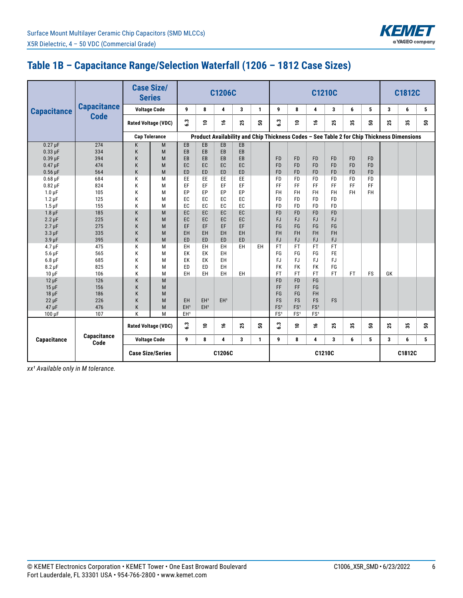

## **Table 1B – Capacitance Range/Selection Waterfall (1206 – 1812 Case Sizes)**

|                           |                     | <b>Case Size/</b><br><b>Series</b> | <b>C1206C</b>              |                 |                 |                 | <b>C1210C</b> |              |                 |                 |                 |                | C1812C    |                                                                                           |    |        |    |
|---------------------------|---------------------|------------------------------------|----------------------------|-----------------|-----------------|-----------------|---------------|--------------|-----------------|-----------------|-----------------|----------------|-----------|-------------------------------------------------------------------------------------------|----|--------|----|
| <b>Capacitance</b>        | <b>Capacitance</b>  |                                    | <b>Voltage Code</b>        | 9               | 8               | 4               | 3             | $\mathbf{1}$ | 9               | 8               | 4               | 3              | 6         | 5                                                                                         | 3  | 6      | 5  |
|                           | <b>Code</b>         |                                    | <b>Rated Voltage (VDC)</b> | $3\degree$      | ₽               | ٩               | 25            | នី           | $\mathbf{c}$    | ₽               | $\frac{9}{1}$   | 25             | 23        | ន                                                                                         | 25 | చి     | ន  |
|                           |                     |                                    | <b>Cap Tolerance</b>       |                 |                 |                 |               |              |                 |                 |                 |                |           | Product Availability and Chip Thickness Codes - See Table 2 for Chip Thickness Dimensions |    |        |    |
| $0.27 \mu F$              | 274                 | K                                  | M                          | EB              | $E$ B           | EB              | EB            |              |                 |                 |                 |                |           |                                                                                           |    |        |    |
| $0.33 \mu F$              | 334                 | K                                  | M                          | EB              | EB              | EB              | EB            |              |                 |                 |                 |                |           |                                                                                           |    |        |    |
| $0.39$ $\mu$ F            | 394                 | K                                  | M                          | EB              | EB              | EB              | EB            |              | <b>FD</b>       | <b>FD</b>       | <b>FD</b>       | <b>FD</b>      | <b>FD</b> | <b>FD</b>                                                                                 |    |        |    |
| $0.47 \mu F$              | 474                 | K                                  | M                          | EC.             | EC              | EC              | EC            |              | <b>FD</b>       | <b>FD</b>       | <b>FD</b>       | <b>FD</b>      | <b>FD</b> | <b>FD</b>                                                                                 |    |        |    |
| $0.56$ µF                 | 564                 | K                                  | M                          | ED              | ED              | <b>ED</b>       | <b>ED</b>     |              | <b>FD</b>       | <b>FD</b>       | <b>FD</b>       | <b>FD</b>      | <b>FD</b> | <b>FD</b>                                                                                 |    |        |    |
| $0.68$ $\mu$ F            | 684                 | K                                  | M                          | EE              | EE              | EE              | EE            |              | <b>FD</b>       | <b>FD</b>       | <b>FD</b>       | <b>FD</b>      | <b>FD</b> | <b>FD</b>                                                                                 |    |        |    |
| $0.82 \,\mathrm{\upmu F}$ | 824                 | K                                  | M                          | EF              | EF              | EF              | EF            |              | FF.             | FF              | FF              | FF             | FF.       | FF                                                                                        |    |        |    |
| $1.0 \mu F$               | 105                 | K                                  | М                          | EP              | EP              | EP              | EP            |              | <b>FH</b>       | <b>FH</b>       | FH.             | FH             | FH        | FH                                                                                        |    |        |    |
| $1.2 \mu F$               | 125                 | K                                  | М                          | EC              | EC              | EC              | EC            |              | <b>FD</b>       | <b>FD</b>       | <b>FD</b>       | <b>FD</b>      |           |                                                                                           |    |        |    |
| $1.5 \,\mathrm{\upmu F}$  | 155                 | K                                  | М                          | EC              | EC              | EC              | EC            |              | <b>FD</b>       | <b>FD</b>       | <b>FD</b>       | <b>FD</b>      |           |                                                                                           |    |        |    |
| $1.8 \mu F$               | 185                 | K                                  | M                          | EC              | EC              | EC              | EC            |              | <b>FD</b>       | <b>FD</b>       | <b>FD</b>       | <b>FD</b>      |           |                                                                                           |    |        |    |
| $2.2 \mu F$               | 225                 | K                                  | M                          | EC              | EC              | EC              | EC            |              | <b>FJ</b>       | <b>FJ</b>       | <b>FJ</b>       | <b>FJ</b>      |           |                                                                                           |    |        |    |
| $2.7 \mu F$               | 275                 | K                                  | M                          | EF              | EF              | EF              | EF            |              | FG              | FG              | FG              | FG             |           |                                                                                           |    |        |    |
| $3.3 \mu F$               | 335                 | K                                  | M                          | EH              | EH              | EH              | EH            |              | <b>FH</b>       | FH              | FH              | <b>FH</b>      |           |                                                                                           |    |        |    |
| $3.9 \mu F$               | 395                 | K                                  | M                          | <b>ED</b>       | ED              | ED              | ED            |              | <b>FJ</b>       | <b>FJ</b>       | <b>FJ</b>       | <b>FJ</b>      |           |                                                                                           |    |        |    |
| $4.7 \mu F$               | 475                 | Κ                                  | М                          | EH              | EH              | EH              | EH            | EH.          | <b>FT</b>       | <b>FT</b>       | <b>FT</b>       | FT.            |           |                                                                                           |    |        |    |
| $5.6 \,\mu F$             | 565                 | К                                  | M                          | EK              | EK              | EH              |               |              | FG              | FG              | FG              | <b>FE</b>      |           |                                                                                           |    |        |    |
| $6.8 \mu F$               | 685                 | K                                  | М                          | EK              | EK              | EH              |               |              | FJ              | FJ              | <b>FJ</b>       | <b>FJ</b>      |           |                                                                                           |    |        |    |
| $8.2 \mu F$               | 825                 | K                                  | M                          | ED              | ED              | EH              |               |              | <b>FK</b>       | <b>FK</b>       | <b>FK</b>       | FG             |           |                                                                                           |    |        |    |
| $10 \mu F$                | 106                 | K                                  | M                          | EH              | EH              | EH              | EH            |              | FT.             | <b>FT</b>       | <b>FT</b>       | FT <sub></sub> | <b>FT</b> | FS                                                                                        | GK |        |    |
| $12 \mu F$                | 126                 | K                                  | M                          |                 |                 |                 |               |              | <b>FD</b>       | <b>FD</b>       | FG              |                |           |                                                                                           |    |        |    |
| $15 \mu F$                | 156                 | K                                  | M                          |                 |                 |                 |               |              | FF              | <b>FF</b>       | FG              |                |           |                                                                                           |    |        |    |
| $18 \mu F$                | 186                 | K                                  | M                          |                 |                 |                 |               |              | FG              | FG              | <b>FH</b>       |                |           |                                                                                           |    |        |    |
| $22 \mu F$                | 226                 | K                                  | M                          | EH              | EH <sup>1</sup> | EH <sup>1</sup> |               |              | <b>FS</b>       | <b>FS</b>       | <b>FS</b>       | <b>FS</b>      |           |                                                                                           |    |        |    |
| 47 µF                     | 476                 | Κ                                  | M                          | EH <sup>1</sup> | EH <sup>1</sup> |                 |               |              | FS <sup>1</sup> | FS <sup>1</sup> | FS <sup>1</sup> |                |           |                                                                                           |    |        |    |
| $100 \mu F$               | 107                 | K                                  | M                          | EH <sup>1</sup> |                 |                 |               |              | FS <sup>1</sup> | FS <sup>1</sup> | FS <sup>1</sup> |                |           |                                                                                           |    |        |    |
|                           |                     |                                    | <b>Rated Voltage (VDC)</b> | $3\degree$      | $\epsilon$      | ٩               | 25            | នី           | $\ddot{3}$      | ≘               | ۑ               | 25             | 35        | នី                                                                                        | 25 | 55     | នី |
| Capacitance               | Capacitance<br>Code |                                    | <b>Voltage Code</b>        | 9               | 8               | 4               | 3             | $\mathbf{1}$ | 9               | 8               | 4               | 3              | 6         | 5                                                                                         | 3  | 6      | 5  |
|                           |                     | <b>Case Size/Series</b>            |                            |                 |                 | C1206C          |               |              |                 |                 |                 | C1210C         |           |                                                                                           |    | C1812C |    |

*xx¹ Available only in M tolerance.*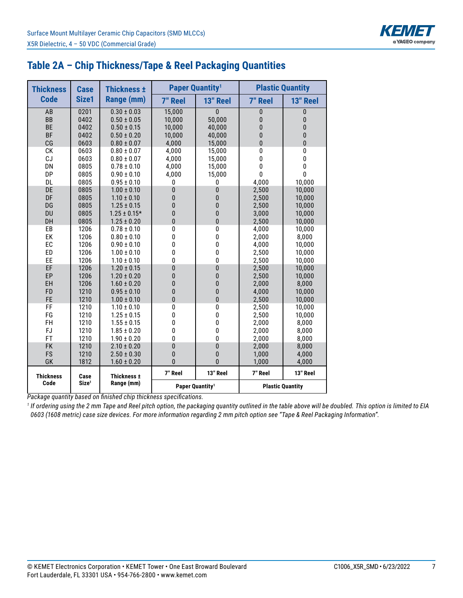

| Table 2A - Chip Thickness/Tape & Reel Packaging Quantities |  |  |  |  |
|------------------------------------------------------------|--|--|--|--|
|------------------------------------------------------------|--|--|--|--|

| <b>Thickness</b> | <b>Case</b>       | <b>Thickness ±</b> |                | <b>Paper Quantity<sup>1</sup></b> |                         | <b>Plastic Quantity</b> |  |  |
|------------------|-------------------|--------------------|----------------|-----------------------------------|-------------------------|-------------------------|--|--|
| <b>Code</b>      | Size1             | Range (mm)         | <b>7" Reel</b> | 13" Reel                          | <b>7" Reel</b>          | 13" Reel                |  |  |
| AB               | 0201              | $0.30 \pm 0.03$    | 15,000         | 0                                 | 0                       | 0                       |  |  |
| <b>BB</b>        | 0402              | $0.50 \pm 0.05$    | 10,000         | 50,000                            | 0                       | 0                       |  |  |
| <b>BE</b>        | 0402              | $0.50 \pm 0.15$    | 10,000         | 40,000                            | $\overline{0}$          | $\bf{0}$                |  |  |
| <b>BF</b>        | 0402              | $0.50 \pm 0.20$    | 10,000         | 40,000                            | $\bf{0}$                | 0                       |  |  |
| CG               | 0603              | $0.80 \pm 0.07$    | 4,000          | 15,000                            | $\mathbf{0}$            | $\mathbf{0}$            |  |  |
| CK               | 0603              | $0.80 \pm 0.07$    | 4,000          | 15,000                            | 0                       | $\pmb{0}$               |  |  |
| CJ               | 0603              | $0.80 \pm 0.07$    | 4,000          | 15,000                            | 0                       | 0                       |  |  |
| DN               | 0805              | $0.78 \pm 0.10$    | 4,000          | 15,000                            | 0                       | 0                       |  |  |
| DP               | 0805              | $0.90 \pm 0.10$    | 4,000          | 15,000                            | 0                       | $\mathbf{0}$            |  |  |
| DL               | 0805              | $0.95 \pm 0.10$    | 0              | 0                                 | 4,000                   | 10,000                  |  |  |
| DE               | 0805              | $1.00 \pm 0.10$    | 0              | $\overline{0}$                    | 2,500                   | 10,000                  |  |  |
| DF               | 0805              | $1.10 \pm 0.10$    | 0              | 0                                 | 2,500                   | 10,000                  |  |  |
| DG               | 0805              | $1.25 \pm 0.15$    | 0              | 0                                 | 2,500                   | 10,000                  |  |  |
| DU               | 0805              | $1.25 \pm 0.15*$   | 0              | 0                                 | 3,000                   | 10,000                  |  |  |
| DH               | 0805              | $1.25 \pm 0.20$    | 0              | 0                                 | 2,500                   | 10,000                  |  |  |
| EB               | 1206              | $0.78 \pm 0.10$    | 0              | 0                                 | 4,000                   | 10,000                  |  |  |
| EK               | 1206              | $0.80 \pm 0.10$    | 0              | 0                                 | 2,000                   | 8,000                   |  |  |
| EC               | 1206              | $0.90 \pm 0.10$    | 0              | 0                                 | 4,000                   | 10.000                  |  |  |
| ED               | 1206              | $1.00 \pm 0.10$    | 0              | 0                                 | 2,500                   | 10,000                  |  |  |
| EE               | 1206              | $1.10 \pm 0.10$    | 0              | 0                                 | 2,500                   | 10,000                  |  |  |
| EF               | 1206              | $1.20 \pm 0.15$    | 0              | 0                                 | 2,500                   | 10,000                  |  |  |
| EP               | 1206              | $1.20 \pm 0.20$    | 0              | 0                                 | 2,500                   | 10,000                  |  |  |
| EH               | 1206              | $1.60 \pm 0.20$    | 0              | 0                                 | 2,000                   | 8,000                   |  |  |
| <b>FD</b>        | 1210              | $0.95 \pm 0.10$    | 0              | 0                                 | 4,000                   | 10,000                  |  |  |
| <b>FE</b>        | 1210              | $1.00 \pm 0.10$    | $\overline{0}$ | $\overline{0}$                    | 2,500                   | 10,000                  |  |  |
| FF               | 1210              | $1.10 \pm 0.10$    | $\bf{0}$       | $\mathbf 0$                       | 2,500                   | 10,000                  |  |  |
| FG               | 1210              | $1.25 \pm 0.15$    | 0              | 0                                 | 2,500                   | 10,000                  |  |  |
| FH               | 1210              | $1.55 \pm 0.15$    | 0              | 0                                 | 2,000                   | 8,000                   |  |  |
| <b>FJ</b>        | 1210              | $1.85 \pm 0.20$    | 0              | 0                                 | 2,000                   | 8,000                   |  |  |
| FT               | 1210              | $1.90 \pm 0.20$    | 0              | 0                                 | 2,000                   | 8,000                   |  |  |
| <b>FK</b>        | 1210              | $2.10 \pm 0.20$    | 0              | 0                                 | 2,000                   | 8,000                   |  |  |
| <b>FS</b>        | 1210              | $2.50 \pm 0.30$    | 0              | 0                                 | 1,000                   | 4,000                   |  |  |
| GK               | 1812              | $1.60 \pm 0.20$    | $\Omega$       | $\Omega$                          | 1,000                   | 4,000                   |  |  |
| <b>Thickness</b> | Case              | Thickness ±        | 7" Reel        | 13" Reel                          | 7" Reel                 | 13" Reel                |  |  |
| Code             | Size <sup>1</sup> | Range (mm)         |                | Paper Quantity <sup>1</sup>       | <b>Plastic Quantity</b> |                         |  |  |

*Package quantity based on finished chip thickness specifications.*

*1 If ordering using the 2 mm Tape and Reel pitch option, the packaging quantity outlined in the table above will be doubled. This option is limited to EIA 0603 (1608 metric) case size devices. For more information regarding 2 mm pitch option see "Tape & Reel Packaging Information".*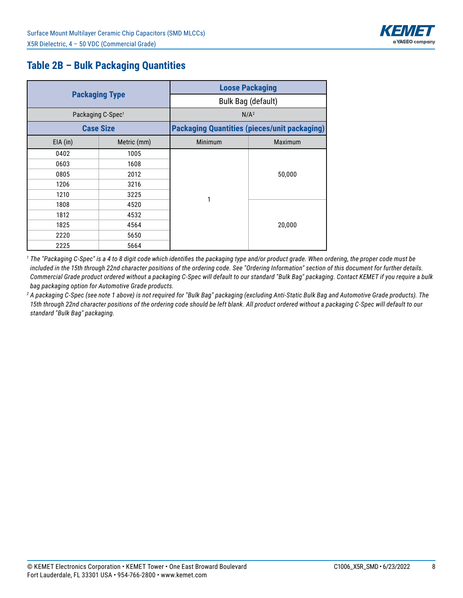

## **Table 2B – Bulk Packaging Quantities**

|            |                               | <b>Loose Packaging</b><br>Bulk Bag (default) |                                                     |  |  |  |  |  |  |
|------------|-------------------------------|----------------------------------------------|-----------------------------------------------------|--|--|--|--|--|--|
|            | <b>Packaging Type</b>         |                                              |                                                     |  |  |  |  |  |  |
|            | Packaging C-Spec <sup>1</sup> |                                              | N/A <sup>2</sup>                                    |  |  |  |  |  |  |
|            | <b>Case Size</b>              |                                              | <b>Packaging Quantities (pieces/unit packaging)</b> |  |  |  |  |  |  |
| $EIA$ (in) | Metric (mm)                   | Minimum                                      | <b>Maximum</b>                                      |  |  |  |  |  |  |
| 0402       | 1005                          |                                              |                                                     |  |  |  |  |  |  |
| 0603       | 1608                          |                                              |                                                     |  |  |  |  |  |  |
| 0805       | 2012                          |                                              | 50,000                                              |  |  |  |  |  |  |
| 1206       | 3216                          |                                              |                                                     |  |  |  |  |  |  |
| 1210       | 3225                          | 1                                            |                                                     |  |  |  |  |  |  |
| 1808       | 4520                          |                                              |                                                     |  |  |  |  |  |  |
| 1812       | 4532                          |                                              |                                                     |  |  |  |  |  |  |
| 1825       | 4564                          |                                              | 20,000                                              |  |  |  |  |  |  |
| 2220       | 5650                          |                                              |                                                     |  |  |  |  |  |  |
| 2225       | 5664                          |                                              |                                                     |  |  |  |  |  |  |

*1 The "Packaging C-Spec" is a 4 to 8 digit code which identifies the packaging type and/or product grade. When ordering, the proper code must be included in the 15th through 22nd character positions of the ordering code. See "Ordering Information" section of this document for further details. Commercial Grade product ordered without a packaging C-Spec will default to our standard "Bulk Bag" packaging. Contact KEMET if you require a bulk bag packaging option for Automotive Grade products.*

*2 A packaging C-Spec (see note 1 above) is not required for "Bulk Bag" packaging (excluding Anti-Static Bulk Bag and Automotive Grade products). The 15th through 22nd character positions of the ordering code should be left blank. All product ordered without a packaging C-Spec will default to our standard "Bulk Bag" packaging.*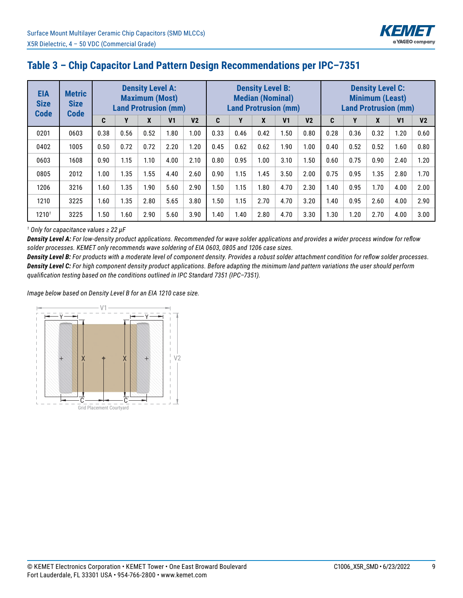

#### **Table 3 – Chip Capacitor Land Pattern Design Recommendations per IPC–7351**

| <b>EIA</b><br><b>Size</b><br><b>Code</b> | <b>Metric</b><br><b>Size</b><br><b>Code</b> | <b>Density Level A:</b><br><b>Maximum (Most)</b><br><b>Land Protrusion (mm)</b> |      |      | <b>Density Level B:</b><br><b>Median (Nominal)</b><br><b>Land Protrusion (mm)</b> |                |      |      | <b>Density Level C:</b><br><b>Minimum (Least)</b><br><b>Land Protrusion (mm)</b> |                |                |      |      |      |                |                |
|------------------------------------------|---------------------------------------------|---------------------------------------------------------------------------------|------|------|-----------------------------------------------------------------------------------|----------------|------|------|----------------------------------------------------------------------------------|----------------|----------------|------|------|------|----------------|----------------|
|                                          |                                             | C                                                                               | Υ    | X    | V <sub>1</sub>                                                                    | V <sub>2</sub> | C    | Υ    | X                                                                                | V <sub>1</sub> | V <sub>2</sub> | C    | Y    | X    | V <sub>1</sub> | V <sub>2</sub> |
| 0201                                     | 0603                                        | 0.38                                                                            | 0.56 | 0.52 | 1.80                                                                              | 1.00           | 0.33 | 0.46 | 0.42                                                                             | 1.50           | 0.80           | 0.28 | 0.36 | 0.32 | 1.20           | 0.60           |
| 0402                                     | 1005                                        | 0.50                                                                            | 0.72 | 0.72 | 2.20                                                                              | 1.20           | 0.45 | 0.62 | 0.62                                                                             | 1.90           | 1.00           | 0.40 | 0.52 | 0.52 | 1.60           | 0.80           |
| 0603                                     | 1608                                        | 0.90                                                                            | 1.15 | 1.10 | 4.00                                                                              | 2.10           | 0.80 | 0.95 | 1.00                                                                             | 3.10           | 1.50           | 0.60 | 0.75 | 0.90 | 2.40           | 1.20           |
| 0805                                     | 2012                                        | 1.00                                                                            | 1.35 | 1.55 | 4.40                                                                              | 2.60           | 0.90 | 1.15 | 1.45                                                                             | 3.50           | 2.00           | 0.75 | 0.95 | 1.35 | 2.80           | 1.70           |
| 1206                                     | 3216                                        | 1.60                                                                            | 1.35 | 1.90 | 5.60                                                                              | 2.90           | 1.50 | 1.15 | 1.80                                                                             | 4.70           | 2.30           | 1.40 | 0.95 | 1.70 | 4.00           | 2.00           |
| 1210                                     | 3225                                        | 1.60                                                                            | 1.35 | 2.80 | 5.65                                                                              | 3.80           | 1.50 | 1.15 | 2.70                                                                             | 4.70           | 3.20           | 1.40 | 0.95 | 2.60 | 4.00           | 2.90           |
| 1210 <sup>7</sup>                        | 3225                                        | 1.50                                                                            | 1.60 | 2.90 | 5.60                                                                              | 3.90           | 1.40 | 1.40 | 2.80                                                                             | 4.70           | 3.30           | 1.30 | 1.20 | 2.70 | 4.00           | 3.00           |

#### *<sup>1</sup> Only for capacitance values ≥ 22 µF*

*Density Level A: For low-density product applications. Recommended for wave solder applications and provides a wider process window for reflow solder processes. KEMET only recommends wave soldering of EIA 0603, 0805 and 1206 case sizes.*

*Density Level B: For products with a moderate level of component density. Provides a robust solder attachment condition for reflow solder processes. Density Level C: For high component density product applications. Before adapting the minimum land pattern variations the user should perform qualification testing based on the conditions outlined in IPC Standard 7351 (IPC–7351).*

*Image below based on Density Level B for an EIA 1210 case size.*

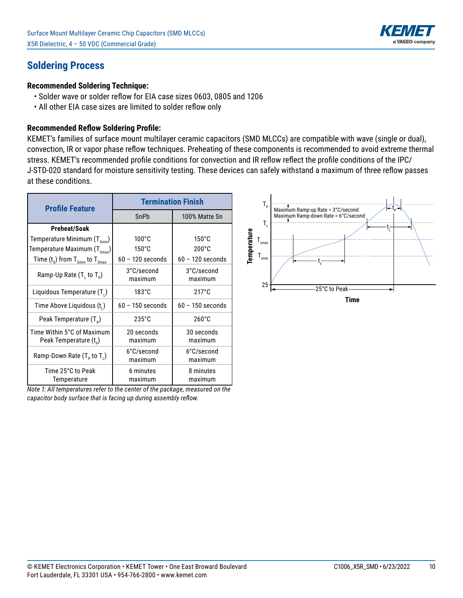

#### **Soldering Process**

#### **Recommended Soldering Technique:**

- Solder wave or solder reflow for EIA case sizes 0603, 0805 and 1206
- All other EIA case sizes are limited to solder reflow only

#### **Recommended Reflow Soldering Profile:**

KEMET's families of surface mount multilayer ceramic capacitors (SMD MLCCs) are compatible with wave (single or dual), convection, IR or vapor phase reflow techniques. Preheating of these components is recommended to avoid extreme thermal stress. KEMET's recommended profile conditions for convection and IR reflow reflect the profile conditions of the IPC/ J-STD-020 standard for moisture sensitivity testing. These devices can safely withstand a maximum of three reflow passes at these conditions.

| <b>Profile Feature</b>                                           | <b>Termination Finish</b> |                       |  |  |
|------------------------------------------------------------------|---------------------------|-----------------------|--|--|
|                                                                  | SnPb                      | 100% Matte Sn         |  |  |
| Preheat/Soak                                                     |                           |                       |  |  |
| Temperature Minimum $(T_{\text{smin}})$                          | $100^{\circ}$ C           | $150^{\circ}$ C       |  |  |
| Temperature Maximum $(T_{\text{Smax}})$                          | $150^{\circ}$ C           | $200^{\circ}$ C       |  |  |
| Time $(t_s)$ from $T_{smin}$ to $T_{smax}$                       | $60 - 120$ seconds        | $60 - 120$ seconds    |  |  |
| Ramp-Up Rate $(T, to T_p)$                                       | 3°C/second<br>maximum     | 3°C/second<br>maximum |  |  |
| Liquidous Temperature (T.)                                       | $183^\circ C$             | $217^{\circ}$ C       |  |  |
| Time Above Liquidous (t.)                                        | $60 - 150$ seconds        | $60 - 150$ seconds    |  |  |
| Peak Temperature $(T_{p})$                                       | $235^{\circ}$ C           | $260^{\circ}$ C       |  |  |
| Time Within 5°C of Maximum<br>Peak Temperature (t <sub>D</sub> ) | 20 seconds<br>maximum     | 30 seconds<br>maximum |  |  |
| Ramp-Down Rate $(T_{p}$ to $T_{1})$                              | 6°C/second<br>maximum     | 6°C/second<br>maximum |  |  |
| Time 25°C to Peak<br>Temperature                                 | 6 minutes<br>maximum      | 8 minutes<br>maximum  |  |  |

*Note 1: All temperatures refer to the center of the package, measured on the capacitor body surface that is facing up during assembly reflow.*

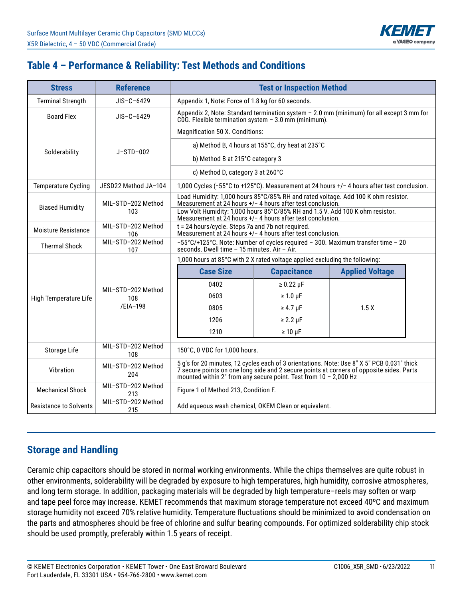

## **Table 4 – Performance & Reliability: Test Methods and Conditions**

| <b>Stress</b>                 | <b>Reference</b>          | <b>Test or Inspection Method</b>                                                                                                                                                                                                                             |                                                                                                                                                   |                                                                                                                     |  |  |  |  |
|-------------------------------|---------------------------|--------------------------------------------------------------------------------------------------------------------------------------------------------------------------------------------------------------------------------------------------------------|---------------------------------------------------------------------------------------------------------------------------------------------------|---------------------------------------------------------------------------------------------------------------------|--|--|--|--|
| <b>Terminal Strength</b>      | $JIS-C-6429$              | Appendix 1, Note: Force of 1.8 kg for 60 seconds.                                                                                                                                                                                                            |                                                                                                                                                   |                                                                                                                     |  |  |  |  |
| <b>Board Flex</b>             | $JIS-C-6429$              |                                                                                                                                                                                                                                                              | Appendix 2, Note: Standard termination system - 2.0 mm (minimum) for all except 3 mm for<br>COG. Flexible termination system $-3.0$ mm (minimum). |                                                                                                                     |  |  |  |  |
|                               |                           | Magnification 50 X. Conditions:                                                                                                                                                                                                                              |                                                                                                                                                   |                                                                                                                     |  |  |  |  |
|                               |                           |                                                                                                                                                                                                                                                              | a) Method B, 4 hours at 155°C, dry heat at 235°C                                                                                                  |                                                                                                                     |  |  |  |  |
| Solderability                 | $J-STD-002$               | b) Method B at 215°C category 3                                                                                                                                                                                                                              |                                                                                                                                                   |                                                                                                                     |  |  |  |  |
|                               |                           | c) Method D, category 3 at 260°C                                                                                                                                                                                                                             |                                                                                                                                                   |                                                                                                                     |  |  |  |  |
| <b>Temperature Cycling</b>    | JESD22 Method JA-104      |                                                                                                                                                                                                                                                              |                                                                                                                                                   | 1,000 Cycles ( $-55^{\circ}$ C to +125 $^{\circ}$ C). Measurement at 24 hours +/ $-$ 4 hours after test conclusion. |  |  |  |  |
| <b>Biased Humidity</b>        | MIL-STD-202 Method        | Measurement at 24 hours +/- 4 hours after test conclusion.                                                                                                                                                                                                   |                                                                                                                                                   | Load Humidity: 1,000 hours 85°C/85% RH and rated voltage. Add 100 K ohm resistor.                                   |  |  |  |  |
|                               | 103                       | Low Volt Humidity: 1,000 hours 85°C/85% RH and 1.5 V. Add 100 K ohm resistor.<br>Measurement at 24 hours +/- 4 hours after test conclusion.                                                                                                                  |                                                                                                                                                   |                                                                                                                     |  |  |  |  |
| Moisture Resistance           | MIL-STD-202 Method<br>106 | t = 24 hours/cycle. Steps 7a and 7b not required.<br>Measurement at 24 hours +/- 4 hours after test conclusion.                                                                                                                                              |                                                                                                                                                   |                                                                                                                     |  |  |  |  |
| <b>Thermal Shock</b>          | MIL-STD-202 Method<br>107 | -55°C/+125°C. Note: Number of cycles required - 300. Maximum transfer time - 20<br>seconds. Dwell time $-15$ minutes. Air $-$ Air.                                                                                                                           |                                                                                                                                                   |                                                                                                                     |  |  |  |  |
|                               |                           | 1,000 hours at 85°C with 2 X rated voltage applied excluding the following:                                                                                                                                                                                  |                                                                                                                                                   |                                                                                                                     |  |  |  |  |
|                               |                           | <b>Case Size</b>                                                                                                                                                                                                                                             | <b>Capacitance</b>                                                                                                                                | <b>Applied Voltage</b>                                                                                              |  |  |  |  |
|                               | MIL-STD-202 Method        | 0402                                                                                                                                                                                                                                                         | $\geq 0.22 \mu F$                                                                                                                                 |                                                                                                                     |  |  |  |  |
| High Temperature Life         | 108                       | 0603                                                                                                                                                                                                                                                         | $\geq 1.0 \,\mu F$                                                                                                                                |                                                                                                                     |  |  |  |  |
|                               | /EIA-198                  | 0805                                                                                                                                                                                                                                                         | $\geq 4.7$ µF                                                                                                                                     | 1.5X                                                                                                                |  |  |  |  |
|                               |                           | 1206                                                                                                                                                                                                                                                         | $\geq 2.2 \mu F$                                                                                                                                  |                                                                                                                     |  |  |  |  |
|                               |                           | 1210                                                                                                                                                                                                                                                         | $\geq 10 \mu F$                                                                                                                                   |                                                                                                                     |  |  |  |  |
| Storage Life                  | MIL-STD-202 Method<br>108 | 150°C, 0 VDC for 1,000 hours.                                                                                                                                                                                                                                |                                                                                                                                                   |                                                                                                                     |  |  |  |  |
| Vibration                     | MIL-STD-202 Method<br>204 | 5 g's for 20 minutes, 12 cycles each of 3 orientations. Note: Use 8" X 5" PCB 0.031" thick<br>7 secure points on one long side and 2 secure points at corners of opposite sides. Parts<br>mounted within 2" from any secure point. Test from $10 - 2,000$ Hz |                                                                                                                                                   |                                                                                                                     |  |  |  |  |
| <b>Mechanical Shock</b>       | MIL-STD-202 Method<br>213 | Figure 1 of Method 213, Condition F.                                                                                                                                                                                                                         |                                                                                                                                                   |                                                                                                                     |  |  |  |  |
| <b>Resistance to Solvents</b> | MIL-STD-202 Method<br>215 |                                                                                                                                                                                                                                                              | Add aqueous wash chemical, OKEM Clean or equivalent.                                                                                              |                                                                                                                     |  |  |  |  |

#### **Storage and Handling**

Ceramic chip capacitors should be stored in normal working environments. While the chips themselves are quite robust in other environments, solderability will be degraded by exposure to high temperatures, high humidity, corrosive atmospheres, and long term storage. In addition, packaging materials will be degraded by high temperature–reels may soften or warp and tape peel force may increase. KEMET recommends that maximum storage temperature not exceed 40ºC and maximum storage humidity not exceed 70% relative humidity. Temperature fluctuations should be minimized to avoid condensation on the parts and atmospheres should be free of chlorine and sulfur bearing compounds. For optimized solderability chip stock should be used promptly, preferably within 1.5 years of receipt.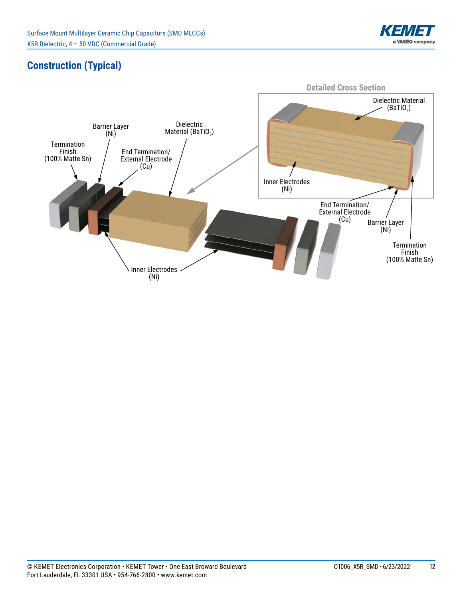

## **Construction (Typical)**

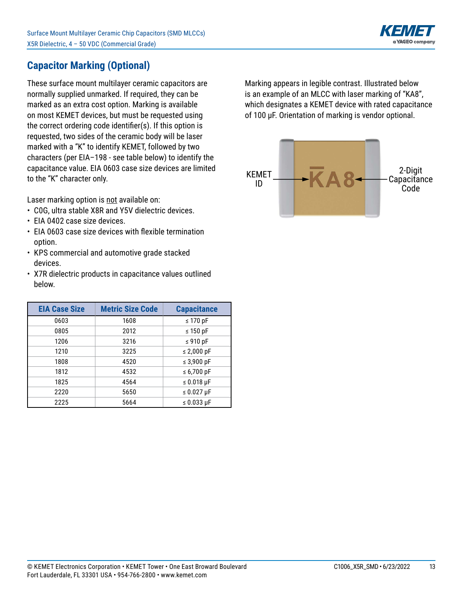

## **Capacitor Marking (Optional)**

These surface mount multilayer ceramic capacitors are normally supplied unmarked. If required, they can be marked as an extra cost option. Marking is available on most KEMET devices, but must be requested using the correct ordering code identifier(s). If this option is requested, two sides of the ceramic body will be laser marked with a "K" to identify KEMET, followed by two characters (per EIA-198 - see table below) to identify the capacitance value. EIA 0603 case size devices are limited to the "K" character only.

Laser marking option is not available on:

- COG, ultra stable X8R and Y5V dielectric devices.
- EIA 0402 case size devices.
- EIA 0603 case size devices with flexible termination option.
- KPS commercial and automotive grade stacked devices.
- X7R dielectric products in capacitance values outlined below.

| <b>EIA Case Size</b> | <b>Metric Size Code</b> | <b>Capacitance</b> |
|----------------------|-------------------------|--------------------|
| 0603                 | 1608                    | $\leq$ 170 pF      |
| 0805                 | 2012                    | $\leq$ 150 pF      |
| 1206                 | 3216                    | $\leq 910$ pF      |
| 1210                 | 3225                    | $\leq$ 2,000 pF    |
| 1808                 | 4520                    | $\leq$ 3,900 pF    |
| 1812                 | 4532                    | $\leq 6,700$ pF    |
| 1825                 | 4564                    | $\leq 0.018$ µF    |
| 2220                 | 5650                    | $\leq 0.027$ µF    |
| 2225                 | 5664                    | $\leq 0.033$ µF    |

Marking appears in legible contrast. Illustrated below is an example of an MLCC with laser marking of "KA8", which designates a KEMET device with rated capacitance of 100 µF. Orientation of marking is vendor optional.

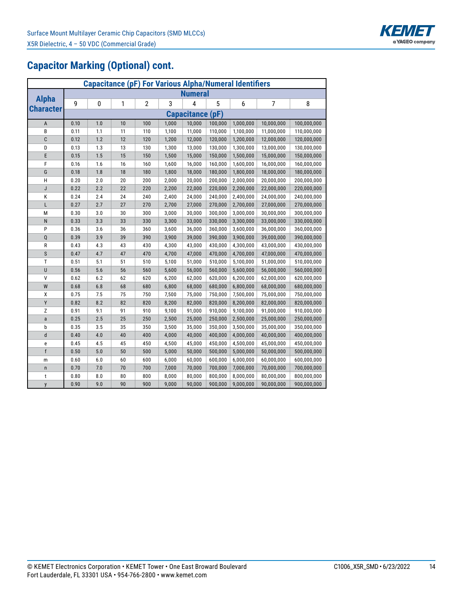

# **Capacitor Marking (Optional) cont.**

| <b>Capacitance (pF) For Various Alpha/Numeral Identifiers</b> |                         |     |    |                |       |                |         |           |            |             |  |  |  |
|---------------------------------------------------------------|-------------------------|-----|----|----------------|-------|----------------|---------|-----------|------------|-------------|--|--|--|
|                                                               |                         |     |    |                |       | <b>Numeral</b> |         |           |            |             |  |  |  |
| <b>Alpha</b>                                                  | 9                       | 0   | 1  | $\overline{2}$ | 3     | 4              | 5       | 6         | 7          | 8           |  |  |  |
| <b>Character</b>                                              | <b>Capacitance (pF)</b> |     |    |                |       |                |         |           |            |             |  |  |  |
| $\sf A$                                                       | 0.10                    | 1.0 | 10 | 100            | 1,000 | 10,000         | 100,000 | 1,000,000 | 10,000,000 | 100,000,000 |  |  |  |
| В                                                             | 0.11                    | 1.1 | 11 | 110            | 1,100 | 11,000         | 110,000 | 1,100,000 | 11,000,000 | 110,000,000 |  |  |  |
| $\mathbf{C}$                                                  | 0.12                    | 1.2 | 12 | 120            | 1,200 | 12,000         | 120,000 | 1,200,000 | 12,000,000 | 120,000,000 |  |  |  |
| D                                                             | 0.13                    | 1.3 | 13 | 130            | 1,300 | 13,000         | 130,000 | 1,300,000 | 13,000,000 | 130,000,000 |  |  |  |
| E                                                             | 0.15                    | 1.5 | 15 | 150            | 1,500 | 15,000         | 150,000 | 1,500,000 | 15,000,000 | 150,000,000 |  |  |  |
| F                                                             | 0.16                    | 1.6 | 16 | 160            | 1,600 | 16,000         | 160,000 | 1,600,000 | 16,000,000 | 160,000,000 |  |  |  |
| G                                                             | 0.18                    | 1.8 | 18 | 180            | 1,800 | 18,000         | 180,000 | 1,800,000 | 18,000,000 | 180,000,000 |  |  |  |
| H                                                             | 0.20                    | 2.0 | 20 | 200            | 2,000 | 20,000         | 200,000 | 2,000,000 | 20,000,000 | 200,000,000 |  |  |  |
| J                                                             | 0.22                    | 2.2 | 22 | 220            | 2,200 | 22,000         | 220,000 | 2,200,000 | 22,000,000 | 220,000,000 |  |  |  |
| К                                                             | 0.24                    | 2.4 | 24 | 240            | 2,400 | 24,000         | 240,000 | 2,400,000 | 24,000,000 | 240,000,000 |  |  |  |
| L                                                             | 0.27                    | 2.7 | 27 | 270            | 2,700 | 27,000         | 270,000 | 2,700,000 | 27,000,000 | 270,000,000 |  |  |  |
| М                                                             | 0.30                    | 3.0 | 30 | 300            | 3,000 | 30,000         | 300,000 | 3,000,000 | 30,000,000 | 300,000,000 |  |  |  |
| $\mathsf{N}$                                                  | 0.33                    | 3.3 | 33 | 330            | 3,300 | 33,000         | 330,000 | 3,300,000 | 33,000,000 | 330,000,000 |  |  |  |
| P                                                             | 0.36                    | 3.6 | 36 | 360            | 3,600 | 36,000         | 360,000 | 3,600,000 | 36,000,000 | 360,000,000 |  |  |  |
| $\mathsf Q$                                                   | 0.39                    | 3.9 | 39 | 390            | 3,900 | 39,000         | 390,000 | 3,900,000 | 39,000,000 | 390,000,000 |  |  |  |
| R                                                             | 0.43                    | 4.3 | 43 | 430            | 4,300 | 43,000         | 430,000 | 4,300,000 | 43,000,000 | 430,000,000 |  |  |  |
| $\mathsf S$                                                   | 0.47                    | 4.7 | 47 | 470            | 4,700 | 47,000         | 470,000 | 4,700,000 | 47,000,000 | 470,000,000 |  |  |  |
| $\mathsf T$                                                   | 0.51                    | 5.1 | 51 | 510            | 5,100 | 51,000         | 510,000 | 5,100,000 | 51,000,000 | 510,000,000 |  |  |  |
| U                                                             | 0.56                    | 5.6 | 56 | 560            | 5,600 | 56,000         | 560,000 | 5,600,000 | 56,000,000 | 560,000,000 |  |  |  |
| $\sf V$                                                       | 0.62                    | 6.2 | 62 | 620            | 6,200 | 62,000         | 620,000 | 6,200,000 | 62,000,000 | 620,000,000 |  |  |  |
| W                                                             | 0.68                    | 6.8 | 68 | 680            | 6,800 | 68,000         | 680,000 | 6,800,000 | 68,000,000 | 680,000,000 |  |  |  |
| χ                                                             | 0.75                    | 7.5 | 75 | 750            | 7,500 | 75,000         | 750,000 | 7,500,000 | 75,000,000 | 750,000,000 |  |  |  |
| Y                                                             | 0.82                    | 8.2 | 82 | 820            | 8,200 | 82,000         | 820,000 | 8,200,000 | 82,000,000 | 820,000,000 |  |  |  |
| Z                                                             | 0.91                    | 9.1 | 91 | 910            | 9,100 | 91,000         | 910,000 | 9,100,000 | 91,000,000 | 910,000,000 |  |  |  |
| a                                                             | 0.25                    | 2.5 | 25 | 250            | 2,500 | 25,000         | 250,000 | 2,500,000 | 25,000,000 | 250,000,000 |  |  |  |
| b                                                             | 0.35                    | 3.5 | 35 | 350            | 3,500 | 35,000         | 350,000 | 3,500,000 | 35,000,000 | 350,000,000 |  |  |  |
| d                                                             | 0.40                    | 4.0 | 40 | 400            | 4,000 | 40,000         | 400,000 | 4,000,000 | 40,000,000 | 400,000,000 |  |  |  |
| е                                                             | 0.45                    | 4.5 | 45 | 450            | 4,500 | 45,000         | 450,000 | 4,500,000 | 45,000,000 | 450,000,000 |  |  |  |
| $\mathsf{f}$                                                  | 0.50                    | 5.0 | 50 | 500            | 5,000 | 50,000         | 500,000 | 5,000,000 | 50,000,000 | 500,000,000 |  |  |  |
| m                                                             | 0.60                    | 6.0 | 60 | 600            | 6,000 | 60,000         | 600,000 | 6,000,000 | 60,000,000 | 600,000,000 |  |  |  |
| $\mathsf{n}$                                                  | 0.70                    | 7.0 | 70 | 700            | 7,000 | 70,000         | 700,000 | 7,000,000 | 70,000,000 | 700,000,000 |  |  |  |
| t                                                             | 0.80                    | 8.0 | 80 | 800            | 8,000 | 80,000         | 800,000 | 8,000,000 | 80,000,000 | 800,000,000 |  |  |  |
| y                                                             | 0.90                    | 9.0 | 90 | 900            | 9,000 | 90,000         | 900,000 | 9,000,000 | 90,000,000 | 900,000,000 |  |  |  |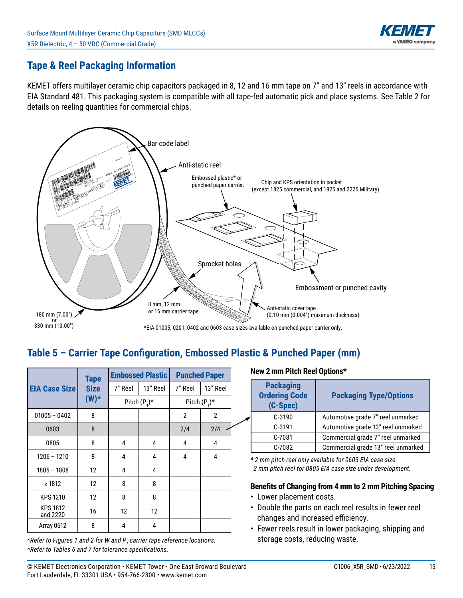

## **Tape & Reel Packaging Information**

KEMET offers multilayer ceramic chip capacitors packaged in 8, 12 and 16 mm tape on 7" and 13" reels in accordance with EIA Standard 481. This packaging system is compatible with all tape-fed automatic pick and place systems. See Table 2 for details on reeling quantities for commercial chips.



## Table 5 - Carrier Tape Configuration, Embossed Plastic & Punched Paper (mm)

|                             | <b>Tape</b> |         | <b>Embossed Plastic</b> | <b>Punched Paper</b> |                 |  |
|-----------------------------|-------------|---------|-------------------------|----------------------|-----------------|--|
| <b>EIA Case Size</b>        | <b>Size</b> | 7" Reel | 13" Reel                | 7" Reel              | 13" Reel        |  |
|                             | $(W)^*$     |         | Pitch $(P_1)^*$         |                      | Pitch $(P_1)^*$ |  |
| $01005 - 0402$              | 8           |         |                         | $\overline{2}$       | $\overline{2}$  |  |
| 0603                        | 8           |         |                         | 2/4                  | 2/4             |  |
| 0805                        | 8           | 4       | 4                       | 4                    | 4               |  |
| $1206 - 1210$               | 8           | 4       | 4                       | 4                    | 4               |  |
| $1805 - 1808$               | 12          | 4       | 4                       |                      |                 |  |
| $\geq 1812$                 | 12          | 8       | 8                       |                      |                 |  |
| <b>KPS 1210</b>             | 12          | 8       | 8                       |                      |                 |  |
| <b>KPS 1812</b><br>and 2220 | 16          | 12      | 12                      |                      |                 |  |
| Array 0612                  | 8           | 4       | 4                       |                      |                 |  |

*\*Refer to Figures 1 and 2 for W and P<sup>1</sup> carrier tape reference locations. \*Refer to Tables 6 and 7 for tolerance specifi cations.*

#### **New 2 mm Pitch Reel Options\***

| <b>Packaging</b><br><b>Ordering Code</b><br>(C-Spec) | <b>Packaging Type/Options</b>      |
|------------------------------------------------------|------------------------------------|
| $C-3190$                                             | Automotive grade 7" reel unmarked  |
| $C-3191$                                             | Automotive grade 13" reel unmarked |
| C-7081                                               | Commercial grade 7" reel unmarked  |
| C-7082                                               | Commercial grade 13" reel unmarked |

*\* 2 mm pitch reel only available for 0603 EIA case size. 2 mm pitch reel for 0805 EIA case size under development.*

#### **Benefits of Changing from 4 mm to 2 mm Pitching Spacing**

- Lower placement costs.
- Double the parts on each reel results in fewer reel changes and increased efficiency.
- Fewer reels result in lower packaging, shipping and storage costs, reducing waste.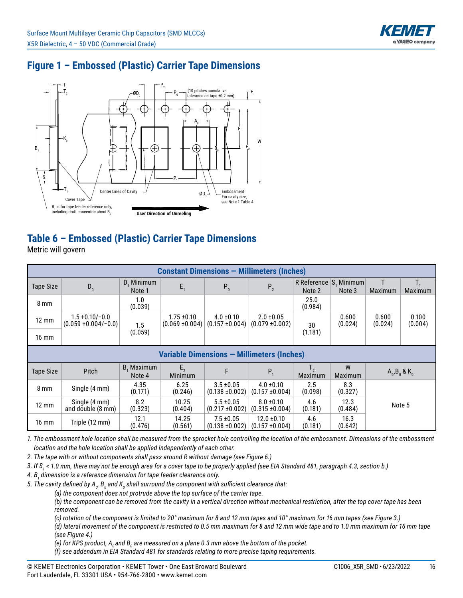

# **Figure 1 – Embossed (Plastic) Carrier Tape Dimensions**



# **Table 6 – Embossed (Plastic) Carrier Tape Dimensions**

Metric will govern

| <b>Constant Dimensions - Millimeters (Inches)</b> |                                               |                      |                                        |                                       |                                        |                                      |                     |                  |                       |  |  |  |
|---------------------------------------------------|-----------------------------------------------|----------------------|----------------------------------------|---------------------------------------|----------------------------------------|--------------------------------------|---------------------|------------------|-----------------------|--|--|--|
| Tape Size                                         | $D_0$                                         | D. Minimum<br>Note 1 | $E_{1}$                                | $P_0$                                 | $P_{2}$                                | R Reference $ S$ , Minimum<br>Note 2 | Note 3              | Maximum          | Maximum               |  |  |  |
| $8 \text{ mm}$                                    |                                               | 1.0<br>(0.039)       |                                        |                                       |                                        | 25.0<br>(0.984)                      |                     |                  |                       |  |  |  |
| $12 \text{ mm}$                                   | $1.5 + 0.10 / -0.0$<br>$(0.059 + 0.004/-0.0)$ | 1.5                  | $1.75 \pm 0.10$<br>$(0.069 \pm 0.004)$ | $4.0 \pm 0.10$<br>$(0.157 \pm 0.004)$ | $2.0 \pm 0.05$<br>$(0.079 \pm 0.002)$  | 30                                   | 0.600<br>(0.024)    | 0.600<br>(0.024) | 0.100<br>(0.004)      |  |  |  |
| $16 \text{ mm}$                                   |                                               | (0.059)              |                                        |                                       |                                        | (1.181)                              |                     |                  |                       |  |  |  |
|                                                   | Variable Dimensions - Millimeters (Inches)    |                      |                                        |                                       |                                        |                                      |                     |                  |                       |  |  |  |
| Tape Size                                         | Pitch                                         | B, Maximum<br>Note 4 | $E_{2}$<br>Minimum                     | F                                     | $P_{1}$                                | $T_{2}$<br>Maximum                   | W<br><b>Maximum</b> |                  | $A_0$ , $B_0$ & $K_n$ |  |  |  |
| $8 \text{ mm}$                                    | Single (4 mm)                                 | 4.35<br>(0.171)      | 6.25<br>(0.246)                        | $3.5 \pm 0.05$<br>$(0.138 + 0.002)$   | $4.0 \pm 0.10$<br>$(0.157 \pm 0.004)$  | 2.5<br>(0.098)                       | 8.3<br>(0.327)      |                  |                       |  |  |  |
| $12 \text{ mm}$                                   | Single (4 mm)<br>and double (8 mm)            | 8.2<br>(0.323)       | 10.25<br>(0.404)                       | $5.5 \pm 0.05$<br>$(0.217 \pm 0.002)$ | $8.0 \pm 0.10$<br>$(0.315 \pm 0.004)$  | 4.6<br>(0.181)                       | 12.3<br>(0.484)     | Note 5           |                       |  |  |  |
| $16 \text{ mm}$                                   | Triple (12 mm)                                | 12.1<br>(0.476)      | 14.25<br>(0.561)                       | $7.5 \pm 0.05$<br>$(0.138 \pm 0.002)$ | $12.0 \pm 0.10$<br>$(0.157 \pm 0.004)$ | 4.6<br>(0.181)                       | 16.3<br>(0.642)     |                  |                       |  |  |  |

*1. The embossment hole location shall be measured from the sprocket hole controlling the location of the embossment. Dimensions of the embossment location and the hole location shall be applied independently of each other.*

*2. The tape with or without components shall pass around R without damage (see Figure 6.)*

*3. If S<sup>1</sup> < 1.0 mm, there may not be enough area for a cover tape to be properly applied (see EIA Standard 481, paragraph 4.3, section b.)*

*4. B<sup>1</sup> dimension is a reference dimension for tape feeder clearance only.*

5. The cavity defined by A<sub>o</sub>, B<sub>o</sub> and K<sub>o</sub> shall surround the component with sufficient clearance that:

 *(a) the component does not protrude above the top surface of the carrier tape.*

 *(b) the component can be removed from the cavity in a vertical direction without mechanical restriction, after the top cover tape has been removed.*

 *(c) rotation of the component is limited to 20° maximum for 8 and 12 mm tapes and 10° maximum for 16 mm tapes (see Figure 3.)*

 *(d) lateral movement of the component is restricted to 0.5 mm maximum for 8 and 12 mm wide tape and to 1.0 mm maximum for 16 mm tape (see Figure 4.)*

(e) for KPS product, A<sub>0</sub> and B<sub>0</sub> are measured on a plane 0.3 mm above the bottom of the pocket.

 *(f) see addendum in EIA Standard 481 for standards relating to more precise taping requirements.*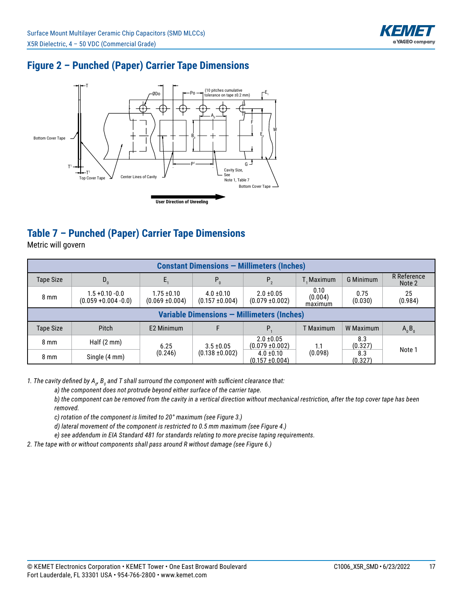

## **Figure 2 – Punched (Paper) Carrier Tape Dimensions**



# **Table 7 – Punched (Paper) Carrier Tape Dimensions**

Metric will govern

| <b>Constant Dimensions - Millimeters (Inches)</b> |                                                   |                                        |                                       |                                       |                            |                  |                       |  |  |  |  |  |
|---------------------------------------------------|---------------------------------------------------|----------------------------------------|---------------------------------------|---------------------------------------|----------------------------|------------------|-----------------------|--|--|--|--|--|
| <b>Tape Size</b>                                  | $D_{0}$                                           |                                        | $P_{q}$                               | $P_{2}$                               | L. Maximum                 | <b>G Minimum</b> | R Reference<br>Note 2 |  |  |  |  |  |
| $8 \text{ mm}$                                    | $1.5 + 0.10 - 0.0$<br>$(0.059 + 0.004 - 0.0)$     | $1.75 \pm 0.10$<br>$(0.069 \pm 0.004)$ | $4.0 \pm 0.10$<br>$(0.157 \pm 0.004)$ | $2.0 \pm 0.05$<br>$(0.079 \pm 0.002)$ | 0.10<br>(0.004)<br>maximum | 0.75<br>(0.030)  | 25<br>(0.984)         |  |  |  |  |  |
|                                                   | <b>Variable Dimensions - Millimeters (Inches)</b> |                                        |                                       |                                       |                            |                  |                       |  |  |  |  |  |
| Tape Size                                         | Pitch                                             | E2 Minimum                             |                                       | P.                                    | <b>T</b> Maximum           | W Maximum        | $A_0B_0$              |  |  |  |  |  |
| $8 \text{ mm}$                                    | Half $(2 \text{ mm})$                             | 6.25                                   | $3.5 \pm 0.05$                        | $2.0 \pm 0.05$<br>$(0.079 \pm 0.002)$ | 1.1                        | 8.3<br>(0.327)   | Note 1                |  |  |  |  |  |
| $8 \text{ mm}$                                    | Single (4 mm)                                     | (0.246)                                | $(0.138 \pm 0.002)$                   | $4.0 \pm 0.10$<br>$(0.157 \pm 0.004)$ | (0.098)                    | 8.3<br>(0.327)   |                       |  |  |  |  |  |

1. The cavity defined by A<sub>o</sub>, B<sub>o</sub> and T shall surround the component with sufficient clearance that:

 *a) the component does not protrude beyond either surface of the carrier tape.*

 *b) the component can be removed from the cavity in a vertical direction without mechanical restriction, after the top cover tape has been removed.*

 *c) rotation of the component is limited to 20° maximum (see Figure 3.)*

 *d) lateral movement of the component is restricted to 0.5 mm maximum (see Figure 4.)*

 *e) see addendum in EIA Standard 481 for standards relating to more precise taping requirements.*

*2. The tape with or without components shall pass around R without damage (see Figure 6.)*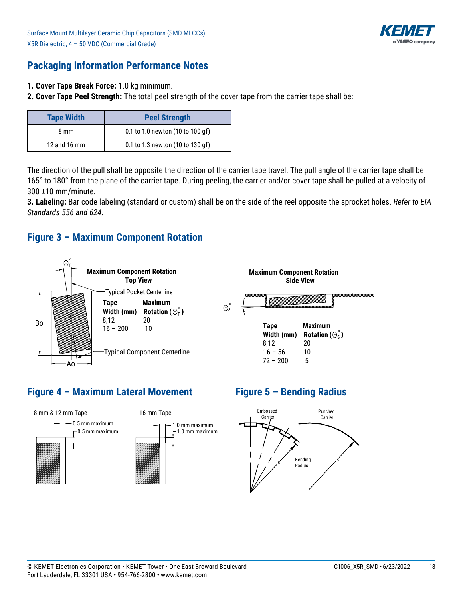

#### **Packaging Information Performance Notes**

- **1. Cover Tape Break Force:** 1.0 kg minimum.
- **2. Cover Tape Peel Strength:** The total peel strength of the cover tape from the carrier tape shall be:

| <b>Tape Width</b> | <b>Peel Strength</b>             |
|-------------------|----------------------------------|
| 8 mm              | 0.1 to 1.0 newton (10 to 100 gf) |
| 12 and 16 mm      | 0.1 to 1.3 newton (10 to 130 gf) |

The direction of the pull shall be opposite the direction of the carrier tape travel. The pull angle of the carrier tape shall be 165° to 180° from the plane of the carrier tape. During peeling, the carrier and/or cover tape shall be pulled at a velocity of 300 ±10 mm/minute.

**3. Labeling:** Bar code labeling (standard or custom) shall be on the side of the reel opposite the sprocket holes. Refer to EIA *Standards 556 and 624*.

#### **Figure 3 – Maximum Component Rotation**



#### **Figure 4 – Maximum Lateral Movement**



## **Figure 5 – Bending Radius**

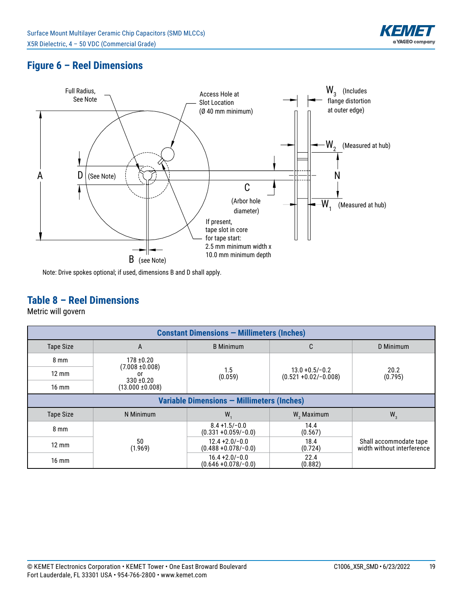

## **Figure 6 – Reel Dimensions**



Note: Drive spokes optional; if used, dimensions B and D shall apply.

#### **Table 8 – Reel Dimensions**

Metric will govern

| <b>Constant Dimensions - Millimeters (Inches)</b> |                                            |                                              |                                               |                                                      |  |  |  |  |  |  |  |
|---------------------------------------------------|--------------------------------------------|----------------------------------------------|-----------------------------------------------|------------------------------------------------------|--|--|--|--|--|--|--|
| <b>Tape Size</b>                                  | A                                          | <b>B</b> Minimum                             | C                                             | D Minimum                                            |  |  |  |  |  |  |  |
| $8 \text{ mm}$                                    | $178 + 0.20$                               |                                              |                                               |                                                      |  |  |  |  |  |  |  |
| $12 \text{ mm}$                                   | $(7.008 \pm 0.008)$<br>0r                  | 1.5<br>(0.059)                               | $13.0 + 0.5/-0.2$<br>$(0.521 + 0.02/- 0.008)$ | 20.2<br>(0.795)                                      |  |  |  |  |  |  |  |
| $16 \text{ mm}$                                   | $330 + 0.20$<br>$(13.000 \pm 0.008)$       |                                              |                                               |                                                      |  |  |  |  |  |  |  |
|                                                   | Variable Dimensions - Millimeters (Inches) |                                              |                                               |                                                      |  |  |  |  |  |  |  |
| <b>Tape Size</b>                                  | N Minimum                                  | W.                                           | W <sub>2</sub> Maximum                        | $W_3$                                                |  |  |  |  |  |  |  |
| $8 \text{ mm}$                                    |                                            | $8.4 + 1.5/-0.0$<br>$(0.331 + 0.059/-0.0)$   | 14.4<br>(0.567)                               |                                                      |  |  |  |  |  |  |  |
| $12 \text{ mm}$                                   | 50<br>(1.969)                              | $12.4 + 2.0 - 0.0$<br>$(0.488 + 0.078/-0.0)$ | 18.4<br>(0.724)                               | Shall accommodate tape<br>width without interference |  |  |  |  |  |  |  |
| $16 \text{ mm}$                                   |                                            | $16.4 + 2.0/-0.0$<br>$(0.646 + 0.078/-0.0)$  | 22.4<br>(0.882)                               |                                                      |  |  |  |  |  |  |  |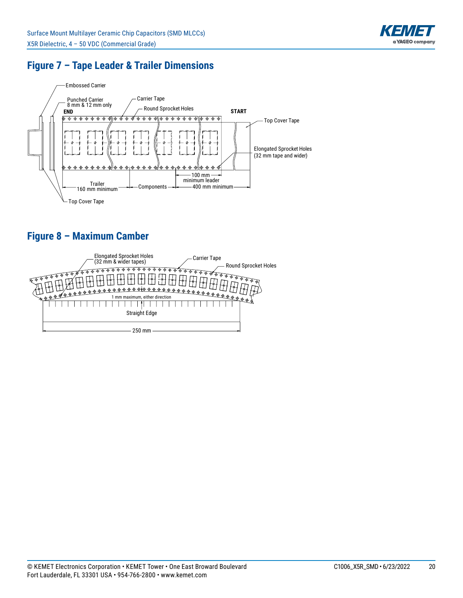

## **Figure 7 – Tape Leader & Trailer Dimensions**



# **Figure 8 – Maximum Camber**